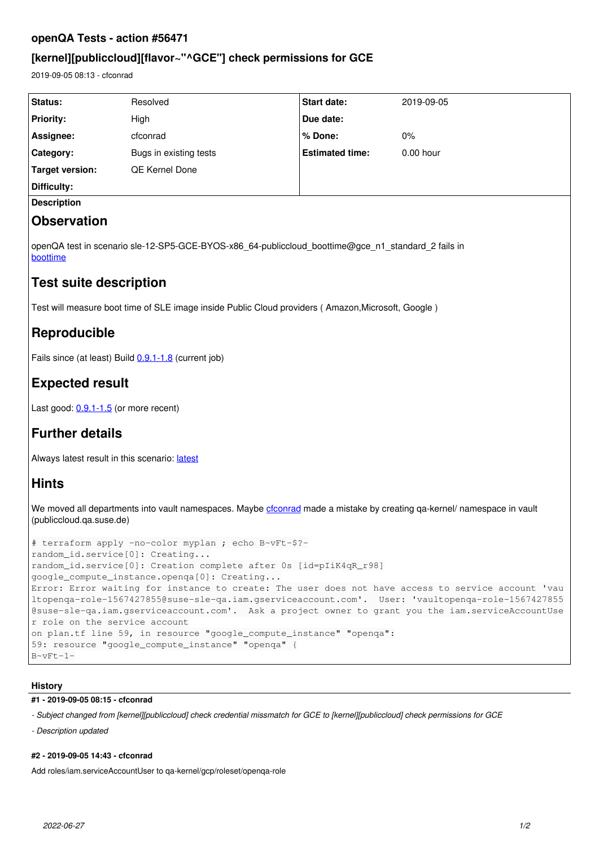### **openQA Tests - action #56471**

## **[kernel][publiccloud][flavor~"^GCE"] check permissions for GCE**

2019-09-05 08:13 - cfconrad

| Status:                | Resolved               | <b>Start date:</b>     | 2019-09-05  |  |
|------------------------|------------------------|------------------------|-------------|--|
| <b>Priority:</b>       | High                   | Due date:              |             |  |
| Assignee:              | cfconrad               | % Done:                | $0\%$       |  |
| Category:              | Bugs in existing tests | <b>Estimated time:</b> | $0.00$ hour |  |
| <b>Target version:</b> | <b>QE Kernel Done</b>  |                        |             |  |
| Difficulty:            |                        |                        |             |  |
| <b>Description</b>     |                        |                        |             |  |
|                        |                        |                        |             |  |

# **Observation**

openQA test in scenario sle-12-SP5-GCE-BYOS-x86\_64-publiccloud\_boottime@gce\_n1\_standard\_2 fails in [boottime](https://openqa.suse.de/tests/3320341/modules/boottime/steps/64)

## **Test suite description**

Test will measure boot time of SLE image inside Public Cloud providers ( Amazon,Microsoft, Google )

# **Reproducible**

Fails since (at least) Build [0.9.1-1.8](https://openqa.suse.de/tests/3320341) (current job)

# **Expected result**

Last good:  $0.9.1 - 1.5$  (or more recent)

# **Further details**

Always [latest](https://openqa.suse.de/tests/latest?arch=x86_64&distri=sle&flavor=GCE-BYOS&machine=gce_n1_standard_2&test=publiccloud_boottime&version=12-SP5) result in this scenario: latest

# **Hints**

We moved all departments into vault namespaces. Maybe [cfconrad](progress.opensuse.org/users/30028) made a mistake by creating qa-kernel/ namespace in vault (publiccloud.qa.suse.de)

```
# terraform apply -no-color myplan ; echo B~vFt-$?-
random_id.service[0]: Creating...
random_id.service[0]: Creation complete after 0s [id=pIiK4qR_r98]
google_compute_instance.openqa[0]: Creating...
Error: Error waiting for instance to create: The user does not have access to service account 'vau
ltopenqa-role-1567427855@suse-sle-qa.iam.gserviceaccount.com'.  User: 'vaultopenqa-role-1567427855
@suse-sle-qa.iam.gserviceaccount.com'.  Ask a project owner to grant you the iam.serviceAccountUse
r role on the service account
on plan.tf line 59, in resource "google_compute_instance" "openqa":
59: resource "google_compute_instance" "openqa" {
B~vFt-1-
```
### **History**

### **#1 - 2019-09-05 08:15 - cfconrad**

*- Subject changed from [kernel][publiccloud] check credential missmatch for GCE to [kernel][publiccloud] check permissions for GCE*

*- Description updated*

### **#2 - 2019-09-05 14:43 - cfconrad**

Add roles/iam.serviceAccountUser to qa-kernel/gcp/roleset/openqa-role